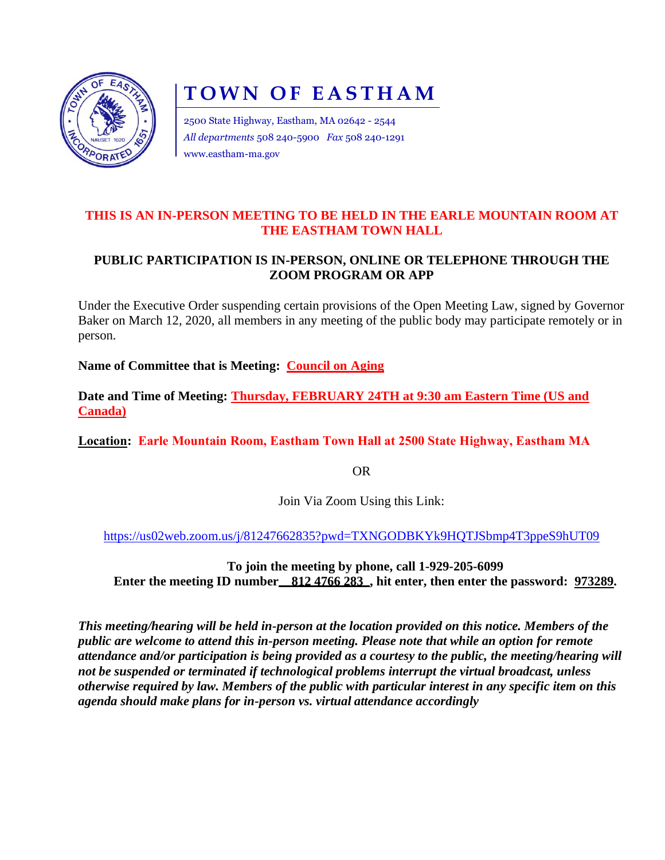

# **TOWN OF EASTHAM**

2500 State Highway, Eastham, MA 02642 - 2544 *All departments* 508 240-5900 *Fax* 508 240-1291 www.eastham-ma.gov

### **THIS IS AN IN-PERSON MEETING TO BE HELD IN THE EARLE MOUNTAIN ROOM AT THE EASTHAM TOWN HALL**

## **PUBLIC PARTICIPATION IS IN-PERSON, ONLINE OR TELEPHONE THROUGH THE ZOOM PROGRAM OR APP**

Under the Executive Order suspending certain provisions of the Open Meeting Law, signed by Governor Baker on March 12, 2020, all members in any meeting of the public body may participate remotely or in person.

**Name of Committee that is Meeting: Council on Aging**

**Date and Time of Meeting: Thursday, FEBRUARY 24TH at 9:30 am Eastern Time (US and Canada)**

**Location: Earle Mountain Room, Eastham Town Hall at 2500 State Highway, Eastham MA**

OR

Join Via Zoom Using this Link:

<https://us02web.zoom.us/j/81247662835?pwd=TXNGODBKYk9HQTJSbmp4T3ppeS9hUT09>

**To join the meeting by phone, call 1-929-205-6099 Enter the meeting ID number** 812 4766 283, hit enter, then enter the password: 973289.

*This meeting/hearing will be held in-person at the location provided on this notice. Members of the public are welcome to attend this in-person meeting. Please note that while an option for remote attendance and/or participation is being provided as a courtesy to the public, the meeting/hearing will not be suspended or terminated if technological problems interrupt the virtual broadcast, unless otherwise required by law. Members of the public with particular interest in any specific item on this agenda should make plans for in-person vs. virtual attendance accordingly*